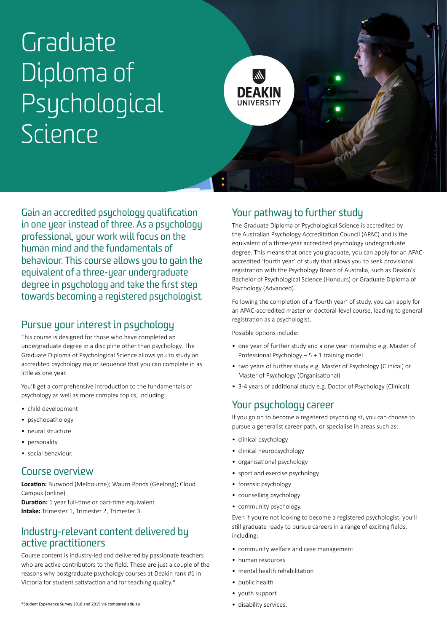# Graduate Diploma of Psychological Science



Gain an accredited psychology qualification in one year instead of three. As a psychology professional, your work will focus on the human mind and the fundamentals of behaviour. This course allows you to gain the equivalent of a three-year undergraduate degree in psychology and take the first step towards becoming a registered psychologist.

## Pursue your interest in psychology

This course is designed for those who have completed an undergraduate degree in a discipline other than psychology. The Graduate Diploma of Psychological Science allows you to study an accredited psychology major sequence that you can complete in as little as one year.

You'll get a comprehensive introduction to the fundamentals of psychology as well as more complex topics, including:

- child development
- psychopathology
- neural structure
- personality
- social behaviour.

#### Course overview

**Location:** Burwood (Melbourne); Waurn Ponds (Geelong); Cloud Campus (online)

**Duration:** 1 year full-time or part-time equivalent **Intake:** Trimester 1, Trimester 2, Trimester 3

#### Industry-relevant content delivered by active practitioners

Course content is industry-led and delivered by passionate teachers who are active contributors to the field. These are just a couple of the reasons why postgraduate psychology courses at Deakin rank #1 in Victoria for student satisfaction and for teaching quality.\*

# Your pathway to further study

The Graduate Diploma of Psychological Science is accredited by the Australian Psychology Accreditation Council (APAC) and is the equivalent of a three-year accredited psychology undergraduate degree. This means that once you graduate, you can apply for an APACaccredited 'fourth year' of study that allows you to seek provisional registration with the Psychology Board of Australia, such as Deakin's Bachelor of Psychological Science (Honours) or Graduate Diploma of Psychology (Advanced).

Following the completion of a 'fourth year' of study, you can apply for an APAC-accredited master or doctoral-level course, leading to general registration as a psychologist.

Possible options include:

- one year of further study and a one year internship e.g. Master of Professional Psychology – 5 + 1 training model
- two years of further study e.g. Master of Psychology (Clinical) or Master of Psychology (Organisational)
- 3-4 years of additional study e.g. Doctor of Psychology (Clinical)

# Your psychology career

If you go on to become a registered psychologist, you can choose to pursue a generalist career path, or specialise in areas such as:

- clinical psychology
- clinical neuropsychology
- organisational psychology
- sport and exercise psychology
- forensic psychology
- counselling psychology
- community psychology.

Even if you're not looking to become a registered psychologist, you'll still graduate ready to pursue careers in a range of exciting fields, including:

- community welfare and case management
- human resources
- mental health rehabilitation
- public health
- youth support
-